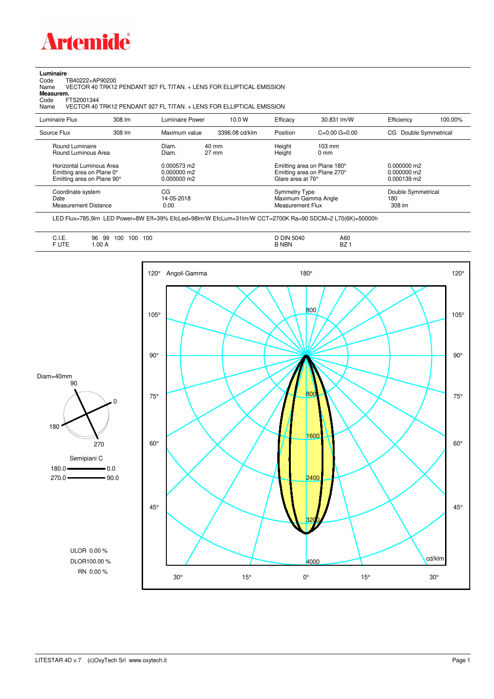

## **Luminaire**

Code TB40222+AP90200 Name VECTOR 40 TRK12 PENDANT 927 FL TITAN. + LENS FOR ELLIPTICAL EMISSION Code TI<br>Name V<br>**Measurem.** 

Code FTS2001344<br>Name VECTOR 40 Name VECTOR 40 TRK12 PENDANT 927 FL TITAN. + LENS FOR ELLIPTICAL EMISSION

| Luminaire Flux                                                                      | 308 lm | Luminaire Power                               | 10.0 W                   | Efficacy          | 30.831 lm/W                                                | Efficiency                                    | 100.00%            |
|-------------------------------------------------------------------------------------|--------|-----------------------------------------------|--------------------------|-------------------|------------------------------------------------------------|-----------------------------------------------|--------------------|
| Source Flux                                                                         | 308 lm | Maximum value                                 | 3396.08 cd/klm           | Position          | $C=0.00$ $G=0.00$                                          | CG Double Symmetrical                         |                    |
| Round Luminaire<br>Round Luminous Area                                              |        | Diam.<br>Diam.                                | 40 mm<br>$27 \text{ mm}$ | Height<br>Height  | $103 \text{ mm}$<br>$0 \text{ mm}$                         |                                               |                    |
| Horizontal Luminous Area<br>Emitting area on Plane 0°<br>Emitting area on Plane 90° |        | 0.000573 m2<br>$0.000000$ m2<br>$0.000000$ m2 |                          | Glare area at 76° | Emitting area on Plane 180°<br>Emitting area on Plane 270° | $0.000000$ m2<br>$0.000000$ m2<br>0.000139 m2 |                    |
| Coordinate system<br>Date<br><b>Measurement Distance</b>                            |        | CG<br>14-05-2018<br>0.00                      |                          |                   | Symmetry Type<br>Maximum Gamma Angle<br>Measurement Flux   |                                               | Double Symmetrical |

LED Flux=785,9lm LED Power=8W Eff=39% EfcLed=98lm/W EfcLum=31lm/W CCT=2700K Ra=90 SDCM=2 L70(6K)=50000h